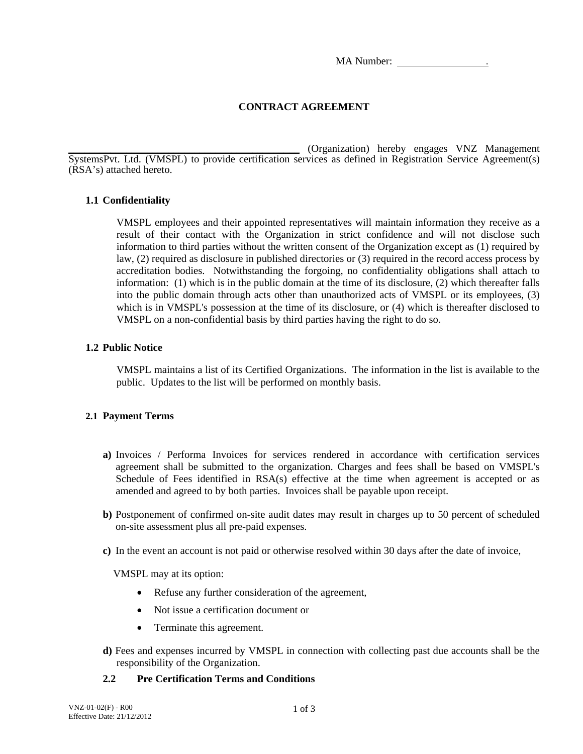MA Number:

# **CONTRACT AGREEMENT**

\_\_\_\_\_\_\_\_\_\_\_\_\_\_\_\_\_\_\_\_\_\_\_\_\_\_\_\_\_\_\_\_\_\_\_\_\_\_\_\_\_\_\_\_ (Organization) hereby engages VNZ Management SystemsPvt. Ltd. (VMSPL) to provide certification services as defined in Registration Service Agreement(s) (RSA's) attached hereto.

## **1.1 Confidentiality**

VMSPL employees and their appointed representatives will maintain information they receive as a result of their contact with the Organization in strict confidence and will not disclose such information to third parties without the written consent of the Organization except as (1) required by law, (2) required as disclosure in published directories or (3) required in the record access process by accreditation bodies. Notwithstanding the forgoing, no confidentiality obligations shall attach to information: (1) which is in the public domain at the time of its disclosure, (2) which thereafter falls into the public domain through acts other than unauthorized acts of VMSPL or its employees, (3) which is in VMSPL's possession at the time of its disclosure, or (4) which is thereafter disclosed to VMSPL on a non-confidential basis by third parties having the right to do so.

## **1.2 Public Notice**

VMSPL maintains a list of its Certified Organizations. The information in the list is available to the public. Updates to the list will be performed on monthly basis.

### **2.1 Payment Terms**

- **a)** Invoices / Performa Invoices for services rendered in accordance with certification services agreement shall be submitted to the organization. Charges and fees shall be based on VMSPL's Schedule of Fees identified in RSA(s) effective at the time when agreement is accepted or as amended and agreed to by both parties. Invoices shall be payable upon receipt.
- **b)** Postponement of confirmed on-site audit dates may result in charges up to 50 percent of scheduled on-site assessment plus all pre-paid expenses.
- **c)** In the event an account is not paid or otherwise resolved within 30 days after the date of invoice,

VMSPL may at its option:

- Refuse any further consideration of the agreement,
- Not issue a certification document or
- Terminate this agreement.
- **d)** Fees and expenses incurred by VMSPL in connection with collecting past due accounts shall be the responsibility of the Organization.

### **2.2 Pre Certification Terms and Conditions**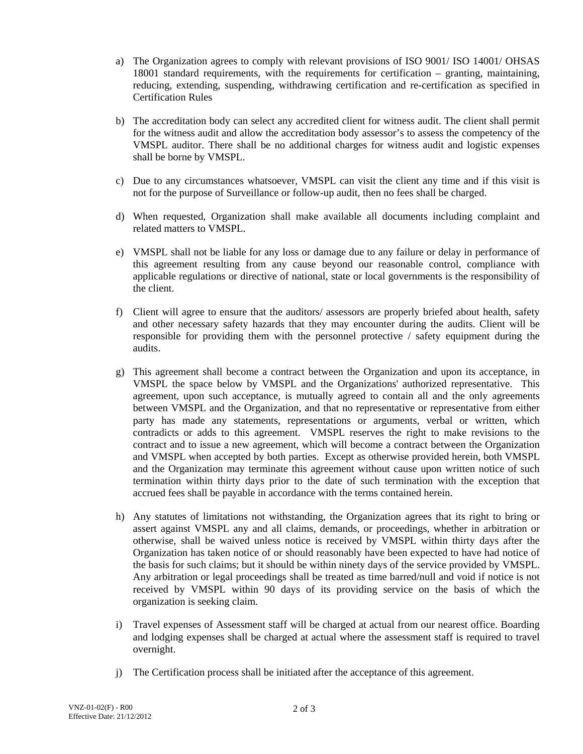- a) The Organization agrees to comply with relevant provisions of ISO 9001/ ISO 14001/ OHSAS 18001 standard requirements, with the requirements for certification – granting, maintaining, reducing, extending, suspending, withdrawing certification and re-certification as specified in Certification Rules
- b) The accreditation body can select any accredited client for witness audit. The client shall permit for the witness audit and allow the accreditation body assessor's to assess the competency of the VMSPL auditor. There shall be no additional charges for witness audit and logistic expenses shall be borne by VMSPL.
- c) Due to any circumstances whatsoever, VMSPL can visit the client any time and if this visit is not for the purpose of Surveillance or follow-up audit, then no fees shall be charged.
- d) When requested, Organization shall make available all documents including complaint and related matters to VMSPL.
- e) VMSPL shall not be liable for any loss or damage due to any failure or delay in performance of this agreement resulting from any cause beyond our reasonable control, compliance with applicable regulations or directive of national, state or local governments is the responsibility of the client.
- f) Client will agree to ensure that the auditors/ assessors are properly briefed about health, safety and other necessary safety hazards that they may encounter during the audits. Client will be responsible for providing them with the personnel protective / safety equipment during the audits.
- g) This agreement shall become a contract between the Organization and upon its acceptance, in VMSPL the space below by VMSPL and the Organizations' authorized representative. This agreement, upon such acceptance, is mutually agreed to contain all and the only agreements between VMSPL and the Organization, and that no representative or representative from either party has made any statements, representations or arguments, verbal or written, which contradicts or adds to this agreement. VMSPL reserves the right to make revisions to the contract and to issue a new agreement, which will become a contract between the Organization and VMSPL when accepted by both parties. Except as otherwise provided herein, both VMSPL and the Organization may terminate this agreement without cause upon written notice of such termination within thirty days prior to the date of such termination with the exception that accrued fees shall be payable in accordance with the terms contained herein.
- h) Any statutes of limitations not withstanding, the Organization agrees that its right to bring or assert against VMSPL any and all claims, demands, or proceedings, whether in arbitration or otherwise, shall be waived unless notice is received by VMSPL within thirty days after the Organization has taken notice of or should reasonably have been expected to have had notice of the basis for such claims; but it should be within ninety days of the service provided by VMSPL. Any arbitration or legal proceedings shall be treated as time barred/null and void if notice is not received by VMSPL within 90 days of its providing service on the basis of which the organization is seeking claim.
- i) Travel expenses of Assessment staff will be charged at actual from our nearest office. Boarding and lodging expenses shall be charged at actual where the assessment staff is required to travel overnight.
- j) The Certification process shall be initiated after the acceptance of this agreement.